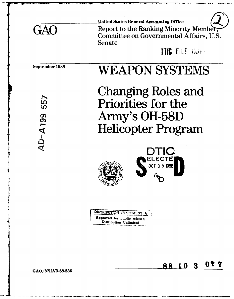|     | <b>United States General Accounting Office</b>                                              |
|-----|---------------------------------------------------------------------------------------------|
| GAO | Report to the Ranking Minority Member,<br>Committee on Governmental Affairs, U.S.<br>Senate |
|     | <b>THE FILE COPY</b>                                                                        |

September **1988** WEAPON **SYSTEMS**

**AD-A199** 

Changing Roles and<br>  $\frac{c_5}{c_5}$  Priorities for the Priorities for the Army's **OH-58D** Helicopter Program







GAO/NSIAD-88-236 **88 10 3** 077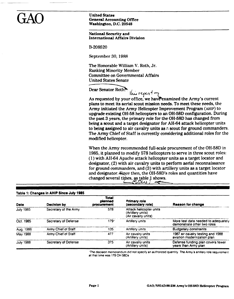**United States<br>
General Accounting Office** Washington, **D.C.** 20548

# National Security and International Affairs Division

B-208520

September **30, 1988**

The Honorable William V. Roth, Jr. Ranking Minority Member Committee on Governmental Affairs United States Senate

**Dear Senator Roth?** 

 $\frac{1}{4}$  report of  $\frac{1}{4}$ <br>As requested by your office, we have examined the Army's current plans to meet its aerial scout mission needs. To meet these needs, the Army initiated the Army Helicopter Improvement Program **(AHIP)** to upgrade existing **011-58** helicopters to an **OH-58D** configuration. During the past 3 years, the primary role for the OH-58D has changed from being a scout and a target designator for AH-64 attack helicopter units to being assigned to air cavalry units as *n* scout for ground commanders. The Army Chief of Staff is currently considering additional roles for the modified helicopter.

When the Army recommended full-scale procurement of the OH-58D in 1985, it planned to modify 578 helicopters to serve in three scout roles: (1) with AII-64 Apache attack helicopter units as a target locator and designator, (2) with air cavalry units to perform aerial reconnaissance for ground commanders, and (3) with artillery units as a target locator and designator. Since then, the OH-58D's roles and quantities have changed several times, as table 1 shows.

| Date             | <b>Decision by</b>          | Total<br>planned<br>procurement | <b>Primary role</b><br>(secondary role)                              | Reason for change                                                  |
|------------------|-----------------------------|---------------------------------|----------------------------------------------------------------------|--------------------------------------------------------------------|
| <b>July 1985</b> | Secretary of the Army       | 578                             | Attack helicopter units<br>(Artillery units).<br>(Air cavalry units) |                                                                    |
| Oct. 1985        | Secretary of Defense        | 179'                            | Artillery units                                                      | More test data needed to adequately<br>demonstrate other two roles |
| Aug. 1986        | Army Chief of Staff         | 135                             | Artillery units<br><b>Budgetary constraints</b>                      |                                                                    |
| May 1988         | Army Chief of Staff         | 477                             | Air cavalry units<br>(Artillery units).                              | 1987 air cavalry testing and 1988<br>aviation modernization plan   |
| <b>July 1988</b> | <b>Secretary of Defense</b> | 375                             | Air cavalry units<br>(Artillery units).                              | Defense funding plan covers fewer<br>years than Army plan          |

**Table 1: Changes in AHIP Since July 1985**

'The decision memorandum did not specify an authorized quantity. The Army's artillery role requirement at that time was **179** OH 580s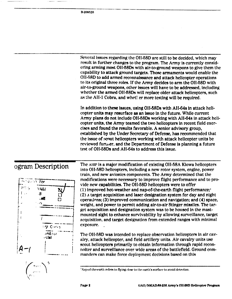**B1-208520**

|                   | Several issues regarding the OH-58D are still to be decided, which may<br>result in further changes to the program. The Army is currently consid-<br>ering arming most OH-58Ds with air-to-ground weapons to give them the<br>capability to attack ground targets. Those armaments would enable the<br>OH-58D to add armed reconnaissance and attack helicopter operations<br>to its original three roles. If the Army decides to arm the OH-58D with<br>air-to-ground weapons, other issues will have to be addressed, including<br>whether the armed OH-58Ds will replace older attack helicopters, such<br>as the AH-1 Cobra, and whet! er more testing will be required. |
|-------------------|------------------------------------------------------------------------------------------------------------------------------------------------------------------------------------------------------------------------------------------------------------------------------------------------------------------------------------------------------------------------------------------------------------------------------------------------------------------------------------------------------------------------------------------------------------------------------------------------------------------------------------------------------------------------------|
|                   | In addition to these issues, using OH-58Ds with AH-64s in attack heli-<br>copter units may resurface as an issue in the future. While current<br>Army plans do not include OH-58Ds working with AH-64s in attack heli-<br>copter units, the Army teamed the two helicopters in recent field exer-<br>cises and found the results favorable. A senior advisory group,<br>established by the Under Secretary of Defense, has recommended that<br>the issue of scout helicopters working with attack helicopter units be<br>reviewed furtuer, and the Department of Defense is planning a future<br>test of OH-58Ds and AH-64s to address this issue.                           |
| adram Docarintian | The AHIP is a major modification of existing OH-58A Kiowa helicopters                                                                                                                                                                                                                                                                                                                                                                                                                                                                                                                                                                                                        |





into **011-58D** helicopters, including a new rotor system, engine, power train, and new avionics components. The Army determined that the  $\overline{R}_{\text{Cov}}$ ,  $\overline{r}$   $\overline{r}$   $\overline{r}$   $\overline{r}$  modifications were necessary to improve flight performance and to provide new capabilities. The **01-58D** helicopters were to offer (1) improved hot-weather and nap-of-the-earth flight performance; (2) a target acquisition and laser designation system for day and night operaLlnns; **(3)** improved communication and navigation; and (4) space, weight, and power to permit adding air-to-air Stinger missiles. The target acquisition and designation system was to **be** housed in the mastmounted sight to enhance survivability **by** allowing surveillance, target acquisition, and target designation from extended ranges with minimal

> *• •• •• •••* **<b>***The OH-58D was intended to replace observation helicopters in air cav*alry, attack helicopter, and field artillery units. Air cavalry units use scout helicopters primarily to obtain information through rapid reconriolter and surveillance over wide areas of the battlefield. Ground commanders can make force deployment decisions based on this

<sup>&</sup>lt;sup>!</sup> Nap-of-the-earth refers to flying close to the earth's surface to avoid detection.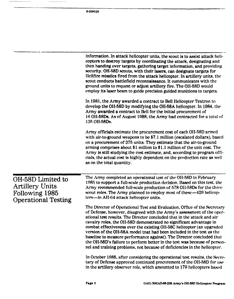|                                                                                             | information. In attack helicopter units, the scout is to assist attack heli-<br>copters to destroy targets by coordinating the attack, designating and<br>then handing over targets, gathering target information, and providing<br>security. OH-58D scouts, with their lasers, can designate targets for<br>Hellfire missiles fired from the attack helicopter. In artillery units, the<br>scout conducts battlefield reconnaissance. It communicates with the<br>ground units to request or adjust artillery fire. The OH-58D would<br>employ its laser beam to guide precision guided munitions to targets.                                                                           |
|---------------------------------------------------------------------------------------------|------------------------------------------------------------------------------------------------------------------------------------------------------------------------------------------------------------------------------------------------------------------------------------------------------------------------------------------------------------------------------------------------------------------------------------------------------------------------------------------------------------------------------------------------------------------------------------------------------------------------------------------------------------------------------------------|
|                                                                                             | In 1981, the Army awarded a contract to Bell Helicopter Textron to<br>develop the OH-58D by modifying the OH-58A helicopter. In 1984, the<br>Army awarded a contract to Bell for the initial procurement of<br>16 OH-58Ds. As of August 1988, the Army had contracted for a total of<br>135 OH-58Ds.                                                                                                                                                                                                                                                                                                                                                                                     |
|                                                                                             | Army officials estimate the procurement cost of each OH-58D armed<br>with air-to-ground weapons to be \$7.1 million (escalated dollars), based<br>on a procurement of 375 units. They estimate that the air-to-ground<br>arming comprises about \$1 million to \$1.1 million of the unit cost. The<br>Army is still studying the cost estimate, and, according to program offi-<br>cials, the actual cost is highly dependent on the production rate as well<br>as on the total quantity.                                                                                                                                                                                                |
| OH-58D Limited to<br><b>Artillery Units</b><br>Following 1985<br><b>Operational Testing</b> | The Army completed an operational test of the OH-58D in February<br>1985 to support a full-scale production decision. Based on this test, the<br>Army recommended full-scale production of 578 OH-58Ds for the three<br>scout roles. The Army planned to employ most of these -429 helicop-<br>ters—in AH-64 attack helicopter units.                                                                                                                                                                                                                                                                                                                                                    |
|                                                                                             | The Director of Operational Test and Evaluation, Office of the Secretary<br>of Defense, however, disagreed with the Army's assessment of the oper-<br>ational test results. The Director concluded that in the attack and air<br>cavalry roles, the OH-58D demonstrated no significant advantage in<br>combat effectiveness over the existing OH-58C helicopter (an upgraded<br>version of the OH-58A model that had been included in the test as the<br>baseline to measure performance against). The Director concluded that<br>the OH-58D's failure to perform better in the test was because of person-<br>nel and training problems, not because of deficiencies in the helicopter. |
|                                                                                             | In October 1985, after considering the operational test results, the Secre-<br>tary of Defense approved continued procurement of the OH-58D for use<br>in the artillery observer role, which amounted to 179 helicopters based                                                                                                                                                                                                                                                                                                                                                                                                                                                           |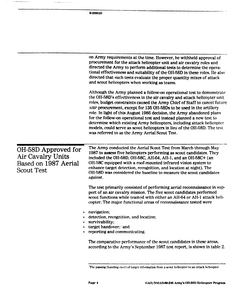|                                                                                       | B-208520                                                                                                                                                                                                                                                                                                                                                                                                                                                                                                                                                                                                                                                         |
|---------------------------------------------------------------------------------------|------------------------------------------------------------------------------------------------------------------------------------------------------------------------------------------------------------------------------------------------------------------------------------------------------------------------------------------------------------------------------------------------------------------------------------------------------------------------------------------------------------------------------------------------------------------------------------------------------------------------------------------------------------------|
|                                                                                       |                                                                                                                                                                                                                                                                                                                                                                                                                                                                                                                                                                                                                                                                  |
|                                                                                       |                                                                                                                                                                                                                                                                                                                                                                                                                                                                                                                                                                                                                                                                  |
|                                                                                       |                                                                                                                                                                                                                                                                                                                                                                                                                                                                                                                                                                                                                                                                  |
|                                                                                       |                                                                                                                                                                                                                                                                                                                                                                                                                                                                                                                                                                                                                                                                  |
|                                                                                       |                                                                                                                                                                                                                                                                                                                                                                                                                                                                                                                                                                                                                                                                  |
|                                                                                       | on Army requirements at the time. However, he withheld approval of<br>procurement for the attack helicopter unit and air cavalry roles and<br>directed the Army to perform additional tests to determine the opera-<br>tional effectiveness and suitability of the OH-58D in these roles. He also<br>directed that such tests evaluate the proper quantity mixes of attack<br>and scout helicopters when working as teams.                                                                                                                                                                                                                                       |
|                                                                                       | Although the Army planned a follow-on operational test to demonstrate<br>the OH-58D's effectiveness in the air cavalry and attack helicopter unit<br>roles, budget constraints caused the Army Chief of Staff to cancel future<br>Allip procurement, except for 135 OH-58Ds to be used in the artillery<br>role. In light of this August 1986 decision, the Army abandoned plans<br>for the follow-on operational test and instead planned a new test to<br>determine which existing Army helicopters, including attack helicopter<br>models, could serve as scout helicopters in lieu of the OH-58D. The test<br>was referred to as the Army Aerial Scout Test. |
| OH-58D Approved for<br>Air Cavalry Units<br>Based on 1987 Aerial<br><b>Scout Test</b> | The Army conducted the Aerial Scout Test from March through May<br>1987 to assess five helicopters performing as scout candidates. They<br>included the OH-58D, OH-58C, AH-64, AH-1, and an OH-58C+ (an<br>OH-58C equipped with a roof-mounted infrared vision system to<br>enhance target detection, recognition, and location at night). The<br>OH-58D was considered the baseline to measure the scout candidates<br>against.                                                                                                                                                                                                                                 |
|                                                                                       | The test primarily consisted of performing aerial reconnaissance in sup-<br>port of an air cavalry mission. The five scout candidates performed<br>scout functions while teamed with either an AH-64 or AH-1 attack heli-<br>copter. The major functional areas of reconnaissance tested were                                                                                                                                                                                                                                                                                                                                                                    |
| $\bullet$                                                                             | navigation;<br>detection, recognition, and location;<br>survivability;<br>target handover; and<br>reporting and communicating.                                                                                                                                                                                                                                                                                                                                                                                                                                                                                                                                   |
|                                                                                       | The comparative performance of the scout candidates in these areas,<br>according to the Army's September 1987 test report, is shown in table 2.                                                                                                                                                                                                                                                                                                                                                                                                                                                                                                                  |

T1w **pating (handing over) or target Inrormation from 11 to ii. hiimphr to an** attack **helleopter.**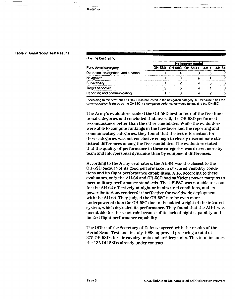### **B-208522**

## Table 2: Aerial Scout Test Results

|  |  | (1 is the best rating) |
|--|--|------------------------|
|  |  |                        |

|                                      | <b>Helicopter model</b> |  |                                  |  |  |
|--------------------------------------|-------------------------|--|----------------------------------|--|--|
| <b>Functional category</b>           |                         |  | OH-58D OH-58C OH-58C+ AH-1 AH-64 |  |  |
| Detection, recognition, and location |                         |  |                                  |  |  |
| Navigation                           |                         |  |                                  |  |  |
| Survivability                        |                         |  |                                  |  |  |
| Target handover                      |                         |  |                                  |  |  |
| Reporting and communicating          |                         |  |                                  |  |  |

According to the Army, the OH 58C+ was not tested in the navigation category, but because it has the same navigation teatures as the OH **58C,** its navigation performance would be equal to the **OH.58C**

The Army's evaluators ranked the **OR-58D** best in four of the five functional categories and concluded that, overall, the **01-58D** performed reconnaissance better than the other candidates. While the evaluators were able to compute rankings in the handover and the reporting and communicating categories, they found that the test information for these categories was not conclusive enough to clearly discriminate statistical differences among the five candidates. **The** evaluators stated that the quality of performance in these categories was driven more **by** team and interpersonal dynamics than **by** equipment differences.

According to the Army evalators, the AII-64 was the closest to the OH-5SD because of its good performance in obscured visibility conditions and its flight performance capabilities. Also, according to these evaluators, only the Ali-64 and **OH.58D** had sufficient power margins to meet military performance standards. The **OH-58C** was not able to scout for the AH-64 effectively at night or in obscured conditions, and its power limitations rendered it ineffective for worldwide deployment with the AII-64. They judged the OH-58C+ to be even more underpowered than the Ol1-58C due to the added weight of the infrared system, which degraded its performance. They found that the **All-I** was unsuitable for the scout role because of its lack of night capability and limited flight performance capability.

The Office of the Secretary of Defense agreed with the results of the Aerial Scout Test and, in July **1988,** approved procuring a total of 375 OI1-58Ds for air cavalry units and artillery units. This total includes the **135** Ol1-58Ds already under contract.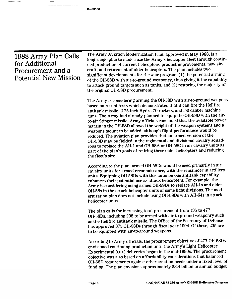-----

 $\sim$ 

| 1988 Army Plan Calls<br>for Additional<br>Procurement and a<br><b>Potential New Mission</b> | The Army Aviation Modernization Plan, approved in May 1988, is a<br>long-range plan to modernize the Army's helicopter fleet through contin-<br>ued production of current helicopters, product improvements, new air-<br>eraft, and retirement of older helicopters. The plan includes two<br>significant developments for the AHIP program: (1) the potential arming<br>of the OH-58D with air-to-ground weaponry, thus giving it the capability<br>to attack ground targets such as tanks, and (2) restoring the majority of<br>the original OH-58D procurement.                                                                                                                                                                                                                                                                             |  |  |
|---------------------------------------------------------------------------------------------|------------------------------------------------------------------------------------------------------------------------------------------------------------------------------------------------------------------------------------------------------------------------------------------------------------------------------------------------------------------------------------------------------------------------------------------------------------------------------------------------------------------------------------------------------------------------------------------------------------------------------------------------------------------------------------------------------------------------------------------------------------------------------------------------------------------------------------------------|--|--|
|                                                                                             | The Army is considering arming the OH-58D with air-to-ground weapons<br>based on recent tests which demonstrated that it can fire the Hellfire<br>antitank missile, 2.75-inch Hydra 70 rockets, and .50 caliber machine<br>guns. The Army had already planned to equip the OH-58D with the air-<br>to-air Stinger missile. Army officials concluded that the available power<br>margin in the OH-58D allowed the weight of the weapon systems and a<br>weapons mount to be added, although flight performance would be<br>reduced. The aviation plan provides that an armed version of the<br>OH-58D may be fielded in the regimental and divisional cavalry squad-<br>rons to replace the AH-1 and OH-58A or OH-58C in air cavalry units as<br>part of the plan's goals of retiring these older helicopters and reducing<br>the fleet's size. |  |  |
|                                                                                             | According to the plan, armed OH-58Ds would be used primarily in air<br>cavalry units for armed reconnaissance, with the remainder in artillery<br>units. Equipping OH-58Ds with this autonomous antitank capability<br>enhances their potential use as attack helicopters. For example, the<br>Army is considering using armed OH-58Ds to replace AH-1s and older<br>OH-58s in the attack helicopter units of some light divisions. The mod-<br>ernization plan does not include using OH-58Ds with AH-64s in attack<br>helicopter units.                                                                                                                                                                                                                                                                                                      |  |  |
|                                                                                             | The plan calls for increasing total procurement from 135 to 477<br>OH-58Ds, including 298 to be armed with air-to-ground weaponry such<br>as the Hellfire antitank missile. The Office of the Secretary of Defense<br>has approved 375 OH-58Ds through fiscal year 1994. Of these, 235 are<br>to be equipped with air-to-ground weapons.                                                                                                                                                                                                                                                                                                                                                                                                                                                                                                       |  |  |
|                                                                                             | According to Army officials, the procurement objective of 477 OH-58Ds<br>envisioned continuing production until the Army's Light Helicopter<br>Experimental (LIIX) deliveries began in the mid-1990s. The procurement<br>objective was also based on affordability considerations that balanced<br>OH-58D requirements against other aviation needs under a fixed level of<br>funding. The plan envisions approximately \$3.4 billion in annual budget                                                                                                                                                                                                                                                                                                                                                                                         |  |  |

للمستحد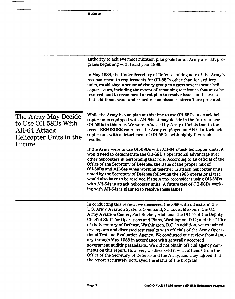**B-2 0852** authority to achieve modernization plan goals for all Army aircraft programs beginning with fiscal year 1989. In May **1988,** the Under Secretary of Defense, taking note of the Army's recommitment to requirements for OH-58Ds other than for artillery units, established a senior advisory group to assess several scout helicopter issues, including the extent of remaining test issues that must be resolved, and to recommend a test plan to resolve issues in the event that additional scout and armed reconnaissance aircraft are procured. The Army May Decide While the Army has no plan at this time to use OH-58Ds in attack heli-<br>material content with AH-64s, it may decide in the future to use copter units equipped with AH-64s, it may decide in the future to use to Use OH-58Ds With OH-58Ds in this role. We were info; **(,-d** by Army officials that in the AH-64 Attack recent REFORGER exercises, the Army employed an AH-64 attack heli-Helicopter Units in the copter unit with a detachment of OH-58Ds, with highly favorable **Future** If the Army were to use **OH-58Ds** with AH-64 attack helicopter units, it would need **to** demonstrate the OH-58D's operational advantage over other helicopters in performing that role. According to an official of the Office of the Secretary of Defense, the issue of the proper mix of OH-58Ds and AH-64s when working together in attack helicopter units, noted by the Secretary of Defense following the 1985 operational test, would also have to be resolved if the Army reconsiders using OH-58Ds with AH-64s in attack helicopter units. A future test of OH-58Ds working with AH-64s is planned to resolve these issues. In conducting this review, we discussed the AmP with officials in the **U.S.** Army Aviation Systems Command, St. Louis, Missouri; the **U.S.** Army Aviation Center, Fort Rucker, Alabama; the Office of the Deputy Chief of Staff for Operations and Plans, Washington, **D.C.;** and the Office of the Secretary of Defense, Washington, **D.C.** In addition, we examined test reports and discussed test results with officials of the Army Operational Test and Evaluation Agency. We conducted our review from January through May **1988** in accordance with generally accepted government auditing standards. We did not obtain official agency comments on this report. However, we discussed it with officials from the Office of the Secretary of Defense and the Army, and they agreed that

**the** report accurately portrayed the status of the program.